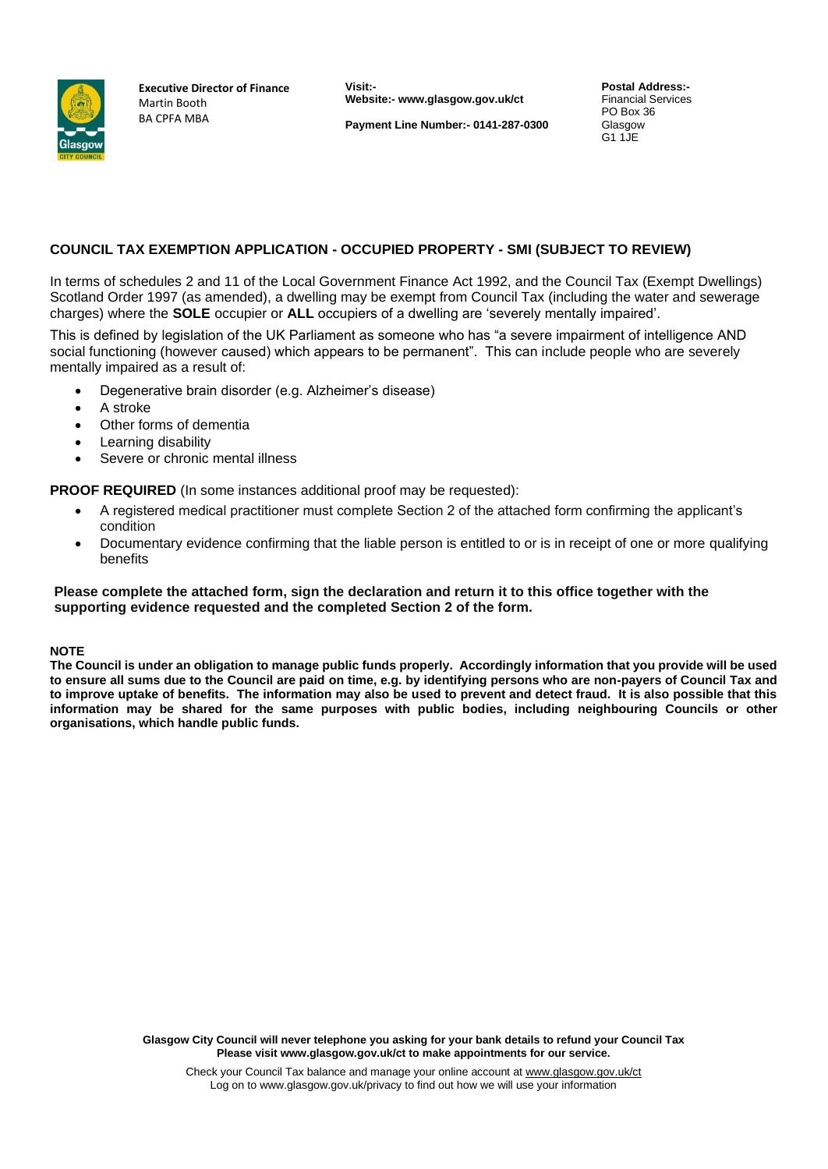

**Executive Director of Finance** Martin Booth BA CPFA MBA

**Visit:- Website:- www.glasgow.gov.uk/ct**

**Payment Line Number:- 0141-287-0300**

**Postal Address:-** Financial Services PO Box 36 Glasgow G1 1JE

## **COUNCIL TAX EXEMPTION APPLICATION - OCCUPIED PROPERTY - SMI (SUBJECT TO REVIEW)**

In terms of schedules 2 and 11 of the Local Government Finance Act 1992, and the Council Tax (Exempt Dwellings) Scotland Order 1997 (as amended), a dwelling may be exempt from Council Tax (including the water and sewerage charges) where the **SOLE** occupier or **ALL** occupiers of a dwelling are 'severely mentally impaired'.

This is defined by legislation of the UK Parliament as someone who has "a severe impairment of intelligence AND social functioning (however caused) which appears to be permanent". This can include people who are severely mentally impaired as a result of:

- Degenerative brain disorder (e.g. Alzheimer's disease)
- A stroke
- Other forms of dementia
- Learning disability
- Severe or chronic mental illness

**PROOF REQUIRED** (In some instances additional proof may be requested):

- A registered medical practitioner must complete Section 2 of the attached form confirming the applicant's condition
- Documentary evidence confirming that the liable person is entitled to or is in receipt of one or more qualifying benefits

### **Please complete the attached form, sign the declaration and return it to this office together with the supporting evidence requested and the completed Section 2 of the form.**

#### **NOTE**

**The Council is under an obligation to manage public funds properly. Accordingly information that you provide will be used to ensure all sums due to the Council are paid on time, e.g. by identifying persons who are non-payers of Council Tax and to improve uptake of benefits. The information may also be used to prevent and detect fraud. It is also possible that this information may be shared for the same purposes with public bodies, including neighbouring Councils or other organisations, which handle public funds.**

> **Glasgow City Council will never telephone you asking for your bank details to refund your Council Tax Please visit www.glasgow.gov.uk/ct to make appointments for our service.**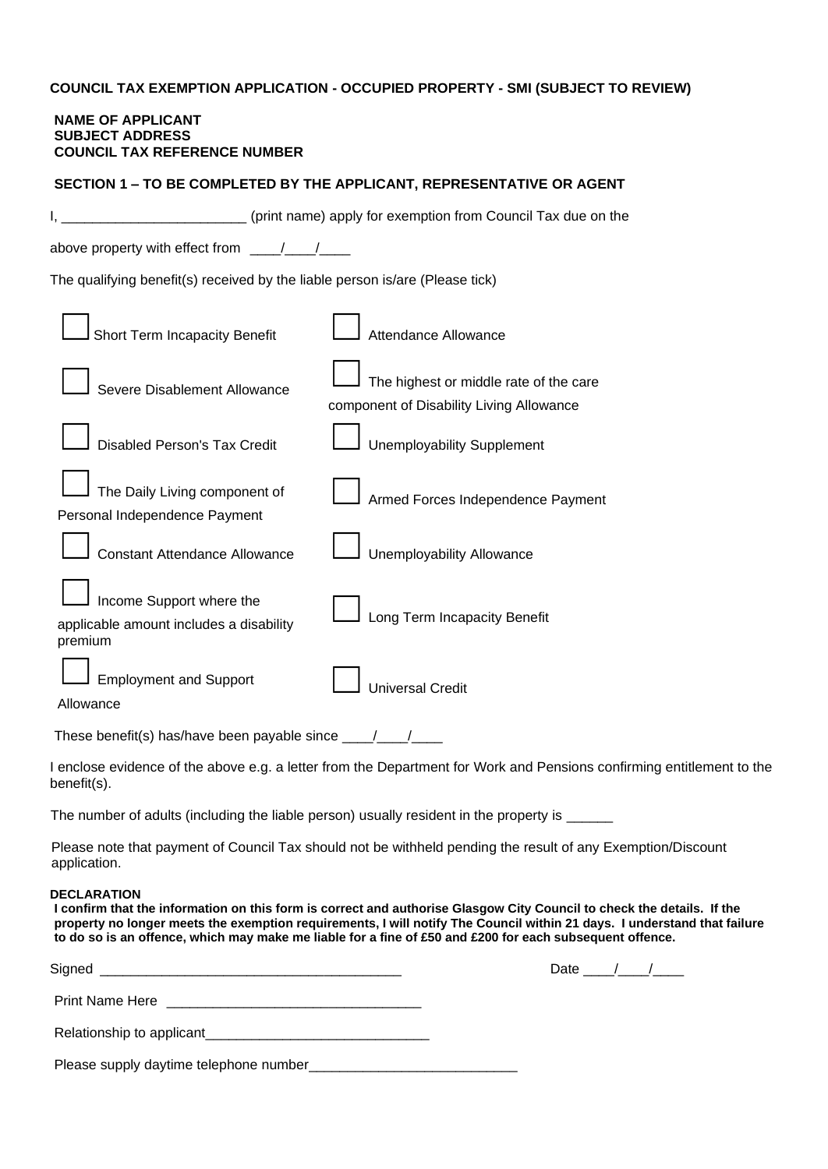# **COUNCIL TAX EXEMPTION APPLICATION - OCCUPIED PROPERTY - SMI (SUBJECT TO REVIEW)**

### **NAME OF APPLICANT SUBJECT ADDRESS COUNCIL TAX REFERENCE NUMBER**

| SECTION 1 - TO BE COMPLETED BY THE APPLICANT, REPRESENTATIVE OR AGENT          |                                                                                                                                                                                                                                                                                                                                                                |  |
|--------------------------------------------------------------------------------|----------------------------------------------------------------------------------------------------------------------------------------------------------------------------------------------------------------------------------------------------------------------------------------------------------------------------------------------------------------|--|
|                                                                                | (print name) apply for exemption from Council Tax due on the                                                                                                                                                                                                                                                                                                   |  |
| above property with effect from ____/__                                        |                                                                                                                                                                                                                                                                                                                                                                |  |
| The qualifying benefit(s) received by the liable person is/are (Please tick)   |                                                                                                                                                                                                                                                                                                                                                                |  |
| Short Term Incapacity Benefit                                                  | Attendance Allowance                                                                                                                                                                                                                                                                                                                                           |  |
| Severe Disablement Allowance                                                   | The highest or middle rate of the care<br>component of Disability Living Allowance                                                                                                                                                                                                                                                                             |  |
| <b>Disabled Person's Tax Credit</b>                                            | <b>Unemployability Supplement</b>                                                                                                                                                                                                                                                                                                                              |  |
| The Daily Living component of<br>Personal Independence Payment                 | Armed Forces Independence Payment                                                                                                                                                                                                                                                                                                                              |  |
| <b>Constant Attendance Allowance</b>                                           | <b>Unemployability Allowance</b>                                                                                                                                                                                                                                                                                                                               |  |
| Income Support where the<br>applicable amount includes a disability<br>premium | Long Term Incapacity Benefit                                                                                                                                                                                                                                                                                                                                   |  |
| <b>Employment and Support</b><br>Allowance                                     | <b>Universal Credit</b>                                                                                                                                                                                                                                                                                                                                        |  |
| These benefit(s) has/have been payable since ____/____/                        |                                                                                                                                                                                                                                                                                                                                                                |  |
| benefit(s).                                                                    | I enclose evidence of the above e.g. a letter from the Department for Work and Pensions confirming entitlement to the                                                                                                                                                                                                                                          |  |
|                                                                                | The number of adults (including the liable person) usually resident in the property is ______                                                                                                                                                                                                                                                                  |  |
| application.                                                                   | Please note that payment of Council Tax should not be withheld pending the result of any Exemption/Discount                                                                                                                                                                                                                                                    |  |
| <b>DECLARATION</b>                                                             | I confirm that the information on this form is correct and authorise Glasgow City Council to check the details. If the<br>property no longer meets the exemption requirements, I will notify The Council within 21 days. I understand that failure<br>to do so is an offence, which may make me liable for a fine of £50 and £200 for each subsequent offence. |  |

| Signed<br><u> 1990 - Jan James James Barnett, amerikan berketara (h. 1980).</u> | Date $\frac{1}{\sqrt{1-\frac{1}{2}}}$ |  |
|---------------------------------------------------------------------------------|---------------------------------------|--|
|                                                                                 |                                       |  |
|                                                                                 |                                       |  |
|                                                                                 |                                       |  |